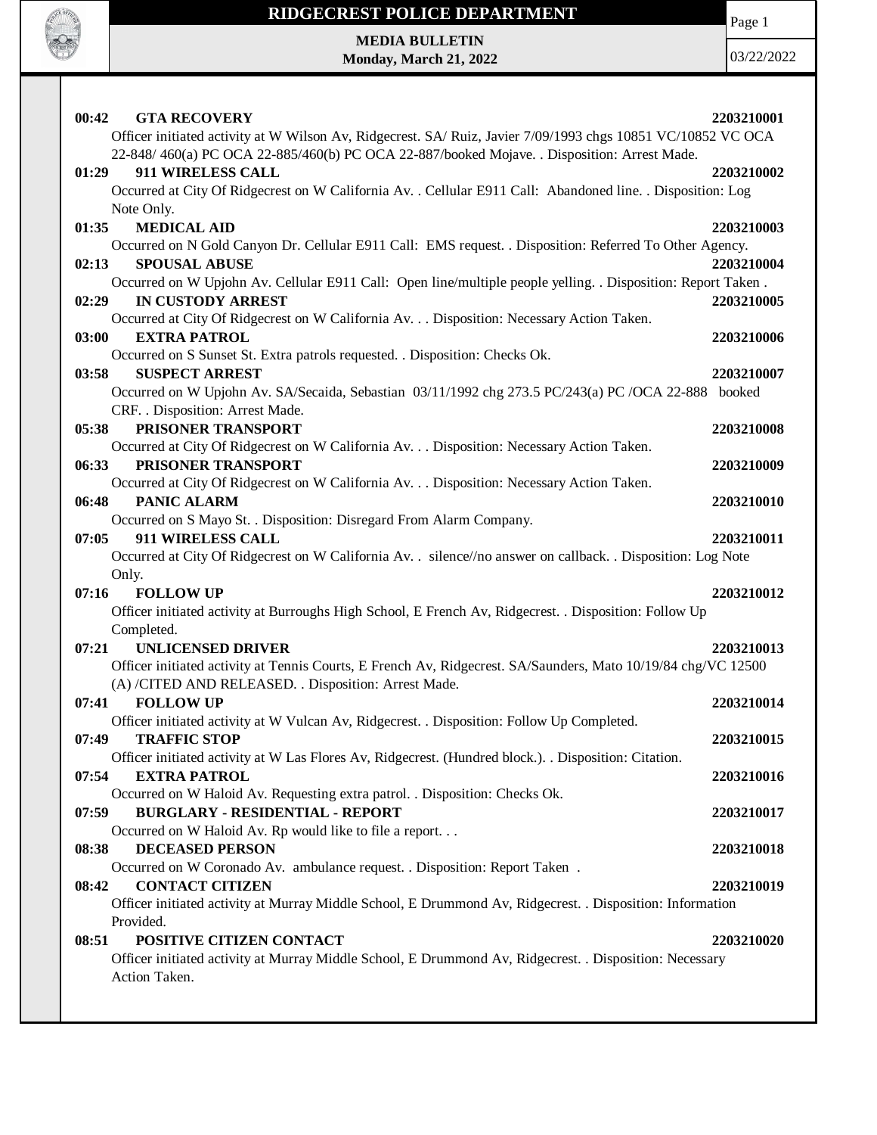

Page 1

**MEDIA BULLETIN Monday, March 21, 2022**

|       | 00:42<br><b>GTA RECOVERY</b>                                                                                                      | 2203210001 |
|-------|-----------------------------------------------------------------------------------------------------------------------------------|------------|
|       | Officer initiated activity at W Wilson Av, Ridgecrest. SA/ Ruiz, Javier 7/09/1993 chgs 10851 VC/10852 VC OCA                      |            |
|       | 22-848/460(a) PC OCA 22-885/460(b) PC OCA 22-887/booked Mojave. . Disposition: Arrest Made.                                       |            |
| 01:29 | 911 WIRELESS CALL                                                                                                                 | 2203210002 |
|       | Occurred at City Of Ridgecrest on W California Av. . Cellular E911 Call: Abandoned line. . Disposition: Log                       |            |
|       | Note Only.                                                                                                                        |            |
| 01:35 | <b>MEDICAL AID</b>                                                                                                                | 2203210003 |
|       | Occurred on N Gold Canyon Dr. Cellular E911 Call: EMS request. . Disposition: Referred To Other Agency.                           |            |
| 02:13 | <b>SPOUSAL ABUSE</b>                                                                                                              | 2203210004 |
|       | Occurred on W Upjohn Av. Cellular E911 Call: Open line/multiple people yelling. . Disposition: Report Taken.                      |            |
| 02:29 | <b>IN CUSTODY ARREST</b>                                                                                                          | 2203210005 |
|       | Occurred at City Of Ridgecrest on W California Av. Disposition: Necessary Action Taken.                                           |            |
| 03:00 | <b>EXTRA PATROL</b>                                                                                                               | 2203210006 |
|       | Occurred on S Sunset St. Extra patrols requested. . Disposition: Checks Ok.                                                       |            |
| 03:58 | <b>SUSPECT ARREST</b>                                                                                                             | 2203210007 |
|       | Occurred on W Upjohn Av. SA/Secaida, Sebastian 03/11/1992 chg 273.5 PC/243(a) PC /OCA 22-888 booked                               |            |
|       | CRF. . Disposition: Arrest Made.                                                                                                  |            |
| 05:38 | PRISONER TRANSPORT                                                                                                                | 2203210008 |
|       | Occurred at City Of Ridgecrest on W California Av. Disposition: Necessary Action Taken.                                           |            |
| 06:33 | PRISONER TRANSPORT                                                                                                                | 2203210009 |
|       | Occurred at City Of Ridgecrest on W California Av. Disposition: Necessary Action Taken.                                           |            |
| 06:48 | <b>PANIC ALARM</b>                                                                                                                | 2203210010 |
|       | Occurred on S Mayo St. . Disposition: Disregard From Alarm Company.                                                               |            |
| 07:05 | 911 WIRELESS CALL<br>Occurred at City Of Ridgecrest on W California Av. . silence//no answer on callback. . Disposition: Log Note | 2203210011 |
|       | Only.                                                                                                                             |            |
| 07:16 | <b>FOLLOW UP</b>                                                                                                                  | 2203210012 |
|       | Officer initiated activity at Burroughs High School, E French Av, Ridgecrest. . Disposition: Follow Up                            |            |
|       |                                                                                                                                   |            |
|       |                                                                                                                                   |            |
|       | Completed.                                                                                                                        |            |
| 07:21 | <b>UNLICENSED DRIVER</b>                                                                                                          | 2203210013 |
|       | Officer initiated activity at Tennis Courts, E French Av, Ridgecrest. SA/Saunders, Mato 10/19/84 chg/VC 12500                     |            |
| 07:41 | (A) /CITED AND RELEASED. . Disposition: Arrest Made.<br><b>FOLLOW UP</b>                                                          |            |
|       | Officer initiated activity at W Vulcan Av, Ridgecrest. . Disposition: Follow Up Completed.                                        | 2203210014 |
| 07:49 | <b>TRAFFIC STOP</b>                                                                                                               | 2203210015 |
|       | Officer initiated activity at W Las Flores Av, Ridgecrest. (Hundred block.). . Disposition: Citation.                             |            |
| 07:54 | <b>EXTRA PATROL</b>                                                                                                               | 2203210016 |
|       | Occurred on W Haloid Av. Requesting extra patrol. . Disposition: Checks Ok.                                                       |            |
| 07:59 | <b>BURGLARY - RESIDENTIAL - REPORT</b>                                                                                            | 2203210017 |
|       | Occurred on W Haloid Av. Rp would like to file a report                                                                           |            |
| 08:38 | <b>DECEASED PERSON</b>                                                                                                            | 2203210018 |
|       | Occurred on W Coronado Av. ambulance request. . Disposition: Report Taken.                                                        |            |
| 08:42 | <b>CONTACT CITIZEN</b>                                                                                                            | 2203210019 |
|       | Officer initiated activity at Murray Middle School, E Drummond Av, Ridgecrest. . Disposition: Information                         |            |
|       | Provided.                                                                                                                         |            |
| 08:51 | POSITIVE CITIZEN CONTACT                                                                                                          | 2203210020 |
|       | Officer initiated activity at Murray Middle School, E Drummond Av, Ridgecrest. . Disposition: Necessary<br>Action Taken.          |            |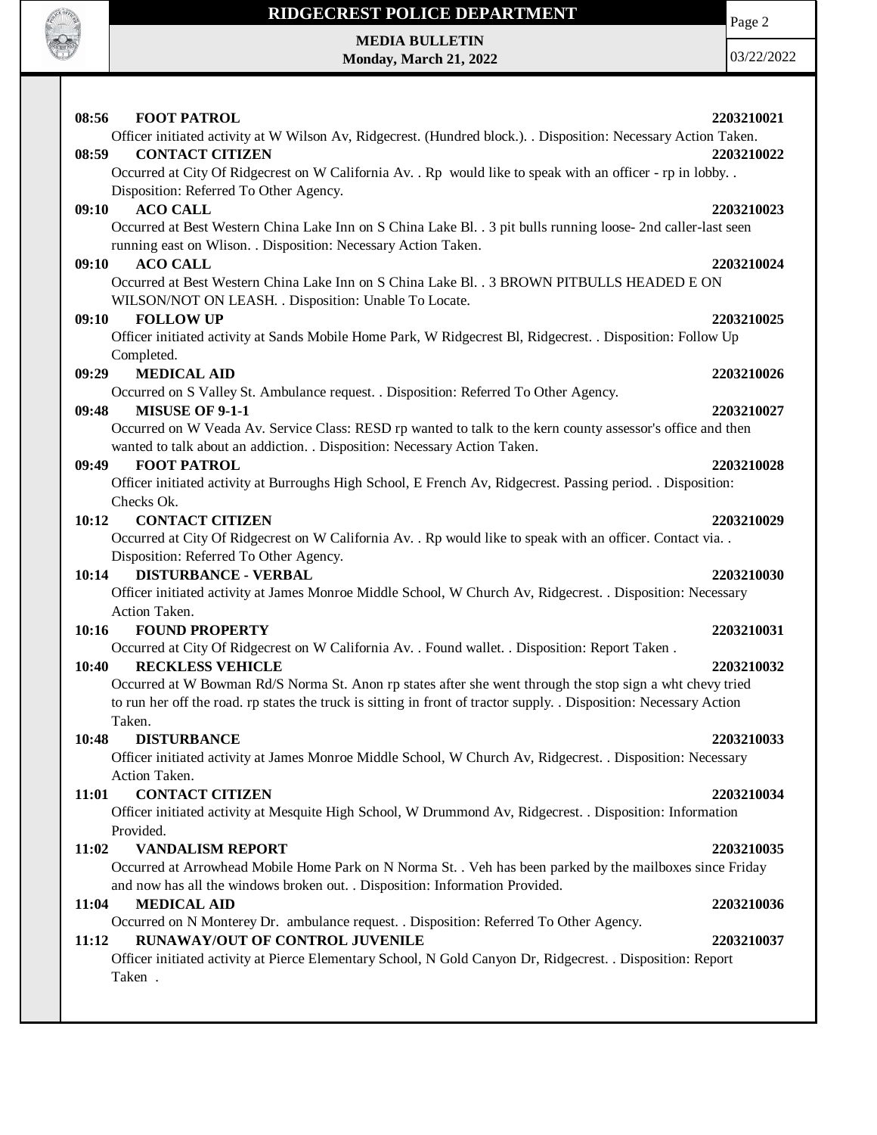

# **RIDGECREST POLICE DEPARTMENT MEDIA BULLETIN**

**Monday, March 21, 2022**

Page 2

| 08:56<br><b>FOOT PATROL</b>                                                                                                                                                     | 2203210021 |
|---------------------------------------------------------------------------------------------------------------------------------------------------------------------------------|------------|
| Officer initiated activity at W Wilson Av, Ridgecrest. (Hundred block.). . Disposition: Necessary Action Taken.                                                                 |            |
| <b>CONTACT CITIZEN</b><br>08:59                                                                                                                                                 | 2203210022 |
| Occurred at City Of Ridgecrest on W California Av. . Rp would like to speak with an officer - rp in lobby. .                                                                    |            |
| Disposition: Referred To Other Agency.                                                                                                                                          |            |
| <b>ACO CALL</b><br>09:10                                                                                                                                                        | 2203210023 |
| Occurred at Best Western China Lake Inn on S China Lake Bl. . 3 pit bulls running loose- 2nd caller-last seen<br>running east on Wlison. . Disposition: Necessary Action Taken. |            |
| 09:10<br><b>ACO CALL</b>                                                                                                                                                        | 2203210024 |
| Occurred at Best Western China Lake Inn on S China Lake Bl. . 3 BROWN PITBULLS HEADED E ON<br>WILSON/NOT ON LEASH. . Disposition: Unable To Locate.                             |            |
| 09:10<br><b>FOLLOW UP</b>                                                                                                                                                       | 2203210025 |
| Officer initiated activity at Sands Mobile Home Park, W Ridgecrest Bl, Ridgecrest. . Disposition: Follow Up                                                                     |            |
| Completed.                                                                                                                                                                      |            |
| <b>MEDICAL AID</b><br>09:29                                                                                                                                                     | 2203210026 |
| Occurred on S Valley St. Ambulance request. . Disposition: Referred To Other Agency.                                                                                            |            |
| <b>MISUSE OF 9-1-1</b><br>09:48                                                                                                                                                 | 2203210027 |
| Occurred on W Veada Av. Service Class: RESD rp wanted to talk to the kern county assessor's office and then                                                                     |            |
| wanted to talk about an addiction. . Disposition: Necessary Action Taken.                                                                                                       |            |
| <b>FOOT PATROL</b><br>09:49                                                                                                                                                     | 2203210028 |
| Officer initiated activity at Burroughs High School, E French Av, Ridgecrest. Passing period. . Disposition:                                                                    |            |
| Checks Ok.                                                                                                                                                                      |            |
| <b>CONTACT CITIZEN</b><br>10:12                                                                                                                                                 | 2203210029 |
| Occurred at City Of Ridgecrest on W California Av. . Rp would like to speak with an officer. Contact via. .                                                                     |            |
| Disposition: Referred To Other Agency.                                                                                                                                          |            |
| 10:14<br><b>DISTURBANCE - VERBAL</b>                                                                                                                                            | 2203210030 |
| Officer initiated activity at James Monroe Middle School, W Church Av, Ridgecrest. . Disposition: Necessary                                                                     |            |
| Action Taken.                                                                                                                                                                   |            |
| <b>FOUND PROPERTY</b><br>10:16                                                                                                                                                  | 2203210031 |
| Occurred at City Of Ridgecrest on W California Av. . Found wallet. . Disposition: Report Taken.                                                                                 |            |
| <b>RECKLESS VEHICLE</b><br>10:40                                                                                                                                                | 2203210032 |
| Occurred at W Bowman Rd/S Norma St. Anon rp states after she went through the stop sign a wht chevy tried                                                                       |            |
| to run her off the road. rp states the truck is sitting in front of tractor supply. . Disposition: Necessary Action                                                             |            |
| Taken.                                                                                                                                                                          |            |
| 10:48<br><b>DISTURBANCE</b>                                                                                                                                                     | 2203210033 |
| Officer initiated activity at James Monroe Middle School, W Church Av, Ridgecrest. . Disposition: Necessary                                                                     |            |
| Action Taken.                                                                                                                                                                   |            |
| <b>CONTACT CITIZEN</b><br>11:01                                                                                                                                                 | 2203210034 |
| Officer initiated activity at Mesquite High School, W Drummond Av, Ridgecrest. . Disposition: Information                                                                       |            |
| Provided.                                                                                                                                                                       |            |
| 11:02<br><b>VANDALISM REPORT</b>                                                                                                                                                | 2203210035 |
| Occurred at Arrowhead Mobile Home Park on N Norma St. . Veh has been parked by the mailboxes since Friday                                                                       |            |
| and now has all the windows broken out. . Disposition: Information Provided.                                                                                                    |            |
| <b>MEDICAL AID</b><br>11:04                                                                                                                                                     | 2203210036 |
| Occurred on N Monterey Dr. ambulance request. . Disposition: Referred To Other Agency.                                                                                          |            |
| RUNAWAY/OUT OF CONTROL JUVENILE<br>11:12                                                                                                                                        | 2203210037 |
| Officer initiated activity at Pierce Elementary School, N Gold Canyon Dr, Ridgecrest. . Disposition: Report                                                                     |            |
| Taken.                                                                                                                                                                          |            |
|                                                                                                                                                                                 |            |
|                                                                                                                                                                                 |            |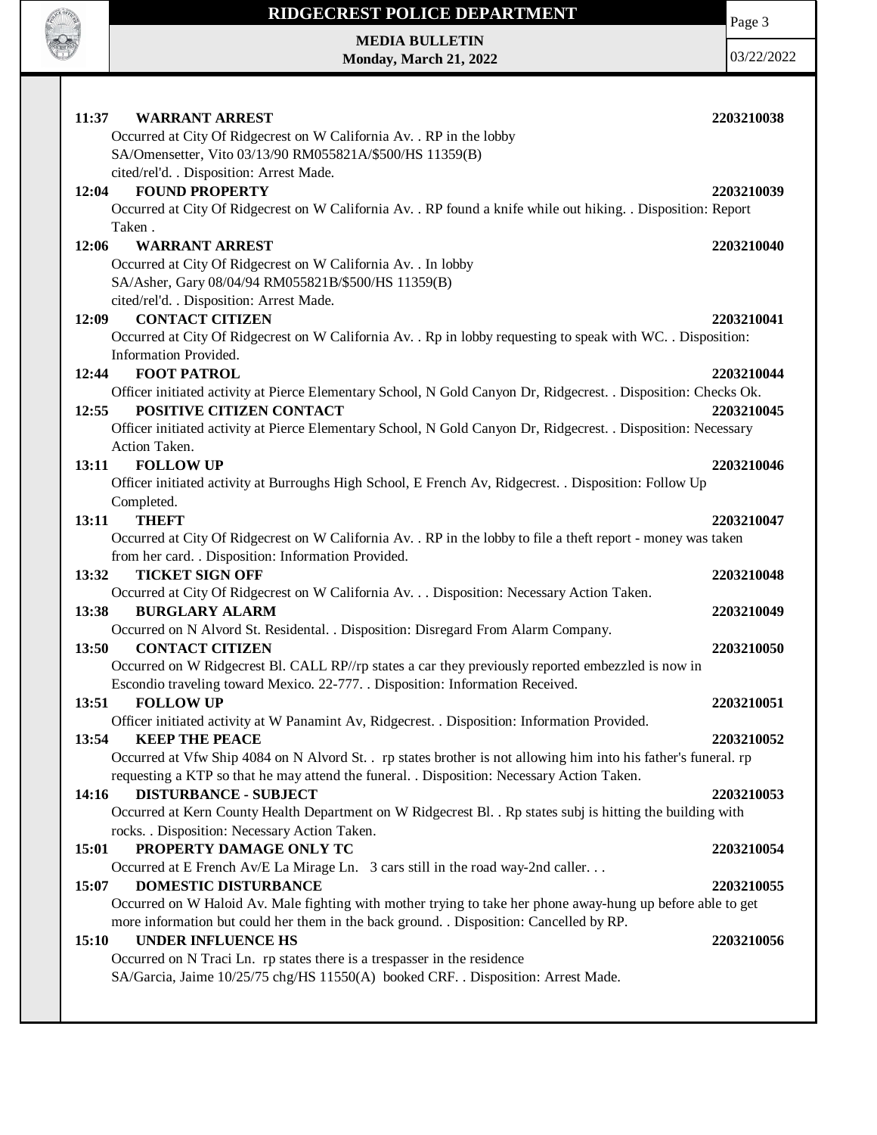

**MEDIA BULLETIN Monday, March 21, 2022** Page 3

| 11:37<br><b>WARRANT ARREST</b>                                                                                  | 2203210038 |
|-----------------------------------------------------------------------------------------------------------------|------------|
| Occurred at City Of Ridgecrest on W California Av. . RP in the lobby                                            |            |
| SA/Omensetter, Vito 03/13/90 RM055821A/\$500/HS 11359(B)                                                        |            |
| cited/rel'd. . Disposition: Arrest Made.<br><b>FOUND PROPERTY</b>                                               |            |
| 12:04                                                                                                           | 2203210039 |
| Occurred at City Of Ridgecrest on W California Av. . RP found a knife while out hiking. . Disposition: Report   |            |
| Taken.                                                                                                          |            |
| 12:06<br><b>WARRANT ARREST</b>                                                                                  | 2203210040 |
| Occurred at City Of Ridgecrest on W California Av. . In lobby                                                   |            |
| SA/Asher, Gary 08/04/94 RM055821B/\$500/HS 11359(B)                                                             |            |
| cited/rel'd. . Disposition: Arrest Made.                                                                        |            |
| <b>CONTACT CITIZEN</b><br>12:09                                                                                 | 2203210041 |
| Occurred at City Of Ridgecrest on W California Av. . Rp in lobby requesting to speak with WC. . Disposition:    |            |
| Information Provided.                                                                                           |            |
| <b>FOOT PATROL</b><br>12:44                                                                                     | 2203210044 |
| Officer initiated activity at Pierce Elementary School, N Gold Canyon Dr, Ridgecrest. . Disposition: Checks Ok. |            |
| POSITIVE CITIZEN CONTACT<br>12:55                                                                               | 2203210045 |
| Officer initiated activity at Pierce Elementary School, N Gold Canyon Dr, Ridgecrest. . Disposition: Necessary  |            |
| Action Taken.                                                                                                   |            |
| 13:11<br><b>FOLLOW UP</b>                                                                                       | 2203210046 |
| Officer initiated activity at Burroughs High School, E French Av, Ridgecrest. . Disposition: Follow Up          |            |
| Completed.                                                                                                      |            |
| <b>THEFT</b><br>13:11                                                                                           | 2203210047 |
| Occurred at City Of Ridgecrest on W California Av. . RP in the lobby to file a theft report - money was taken   |            |
| from her card. . Disposition: Information Provided.                                                             |            |
| <b>TICKET SIGN OFF</b><br>13:32                                                                                 | 2203210048 |
| Occurred at City Of Ridgecrest on W California Av. Disposition: Necessary Action Taken.                         |            |
| 13:38<br><b>BURGLARY ALARM</b>                                                                                  | 2203210049 |
| Occurred on N Alvord St. Residental. . Disposition: Disregard From Alarm Company.                               |            |
| <b>CONTACT CITIZEN</b><br>13:50                                                                                 | 2203210050 |
| Occurred on W Ridgecrest Bl. CALL RP//rp states a car they previously reported embezzled is now in              |            |
| Escondio traveling toward Mexico. 22-777. . Disposition: Information Received.                                  |            |
| <b>FOLLOW UP</b><br>13:51                                                                                       | 2203210051 |
| Officer initiated activity at W Panamint Av, Ridgecrest. . Disposition: Information Provided.                   |            |
| 13:54<br><b>KEEP THE PEACE</b>                                                                                  | 2203210052 |
| Occurred at Vfw Ship 4084 on N Alvord St. rp states brother is not allowing him into his father's funeral. rp   |            |
| requesting a KTP so that he may attend the funeral. . Disposition: Necessary Action Taken.                      |            |
| 14:16<br><b>DISTURBANCE - SUBJECT</b>                                                                           | 2203210053 |
| Occurred at Kern County Health Department on W Ridgecrest Bl. . Rp states subj is hitting the building with     |            |
| rocks. . Disposition: Necessary Action Taken.                                                                   |            |
| PROPERTY DAMAGE ONLY TC<br>15:01                                                                                | 2203210054 |
| Occurred at E French Av/E La Mirage Ln. 3 cars still in the road way-2nd caller                                 |            |
| DOMESTIC DISTURBANCE<br>15:07                                                                                   | 2203210055 |
| Occurred on W Haloid Av. Male fighting with mother trying to take her phone away-hung up before able to get     |            |
| more information but could her them in the back ground. . Disposition: Cancelled by RP.                         |            |
| <b>UNDER INFLUENCE HS</b><br>15:10                                                                              | 2203210056 |
| Occurred on N Traci Ln. rp states there is a trespasser in the residence                                        |            |
| SA/Garcia, Jaime 10/25/75 chg/HS 11550(A) booked CRF. . Disposition: Arrest Made.                               |            |
|                                                                                                                 |            |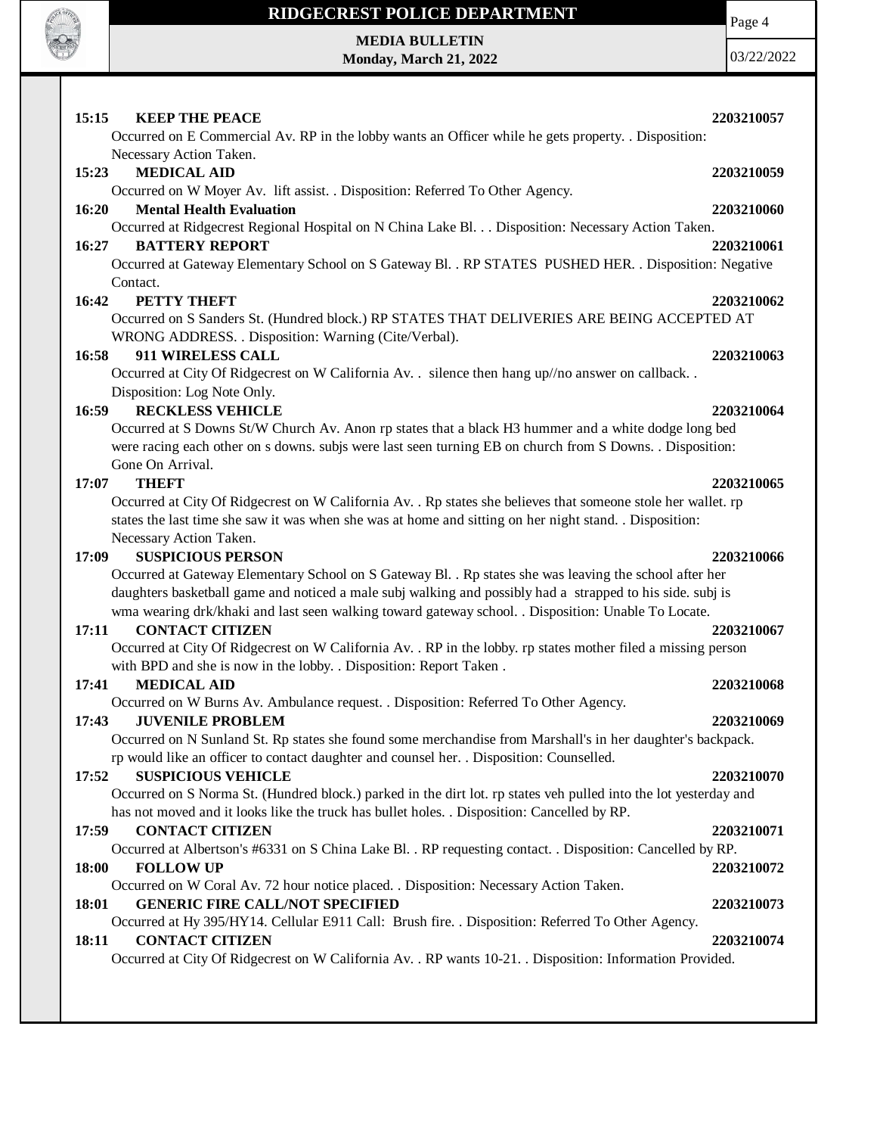

#### **MEDIA BULLETIN Monday, March 21, 2022**

Page 4

## **15:15 KEEP THE PEACE 2203210057** Occurred on E Commercial Av. RP in the lobby wants an Officer while he gets property. . Disposition: Necessary Action Taken. **15:23 MEDICAL AID 2203210059** Occurred on W Moyer Av. lift assist. . Disposition: Referred To Other Agency. **16:20 Mental Health Evaluation 2203210060** Occurred at Ridgecrest Regional Hospital on N China Lake Bl. . . Disposition: Necessary Action Taken. **16:27 BATTERY REPORT 2203210061** Occurred at Gateway Elementary School on S Gateway Bl. . RP STATES PUSHED HER. . Disposition: Negative Contact. **16:42 PETTY THEFT 2203210062** Occurred on S Sanders St. (Hundred block.) RP STATES THAT DELIVERIES ARE BEING ACCEPTED AT WRONG ADDRESS. . Disposition: Warning (Cite/Verbal). **16:58 911 WIRELESS CALL 2203210063** Occurred at City Of Ridgecrest on W California Av. . silence then hang up//no answer on callback. . Disposition: Log Note Only. **16:59 RECKLESS VEHICLE 2203210064** Occurred at S Downs St/W Church Av. Anon rp states that a black H3 hummer and a white dodge long bed were racing each other on s downs. subjs were last seen turning EB on church from S Downs. . Disposition: Gone On Arrival. **17:07 THEFT 2203210065** Occurred at City Of Ridgecrest on W California Av. . Rp states she believes that someone stole her wallet. rp states the last time she saw it was when she was at home and sitting on her night stand. . Disposition: Necessary Action Taken. **17:09 SUSPICIOUS PERSON 2203210066** Occurred at Gateway Elementary School on S Gateway Bl. . Rp states she was leaving the school after her daughters basketball game and noticed a male subj walking and possibly had a strapped to his side. subj is wma wearing drk/khaki and last seen walking toward gateway school. . Disposition: Unable To Locate. **17:11 CONTACT CITIZEN 2203210067** Occurred at City Of Ridgecrest on W California Av. . RP in the lobby. rp states mother filed a missing person with BPD and she is now in the lobby. . Disposition: Report Taken . **17:41 MEDICAL AID 2203210068** Occurred on W Burns Av. Ambulance request. . Disposition: Referred To Other Agency. **17:43 JUVENILE PROBLEM 2203210069** Occurred on N Sunland St. Rp states she found some merchandise from Marshall's in her daughter's backpack. rp would like an officer to contact daughter and counsel her. . Disposition: Counselled. **17:52 SUSPICIOUS VEHICLE 2203210070** Occurred on S Norma St. (Hundred block.) parked in the dirt lot. rp states veh pulled into the lot yesterday and has not moved and it looks like the truck has bullet holes. . Disposition: Cancelled by RP. **17:59 CONTACT CITIZEN 2203210071** Occurred at Albertson's #6331 on S China Lake Bl. . RP requesting contact. . Disposition: Cancelled by RP. **18:00 FOLLOW UP 2203210072** Occurred on W Coral Av. 72 hour notice placed. . Disposition: Necessary Action Taken. **18:01 GENERIC FIRE CALL/NOT SPECIFIED 2203210073** Occurred at Hy 395/HY14. Cellular E911 Call: Brush fire. . Disposition: Referred To Other Agency. **18:11 CONTACT CITIZEN 2203210074** Occurred at City Of Ridgecrest on W California Av. . RP wants 10-21. . Disposition: Information Provided.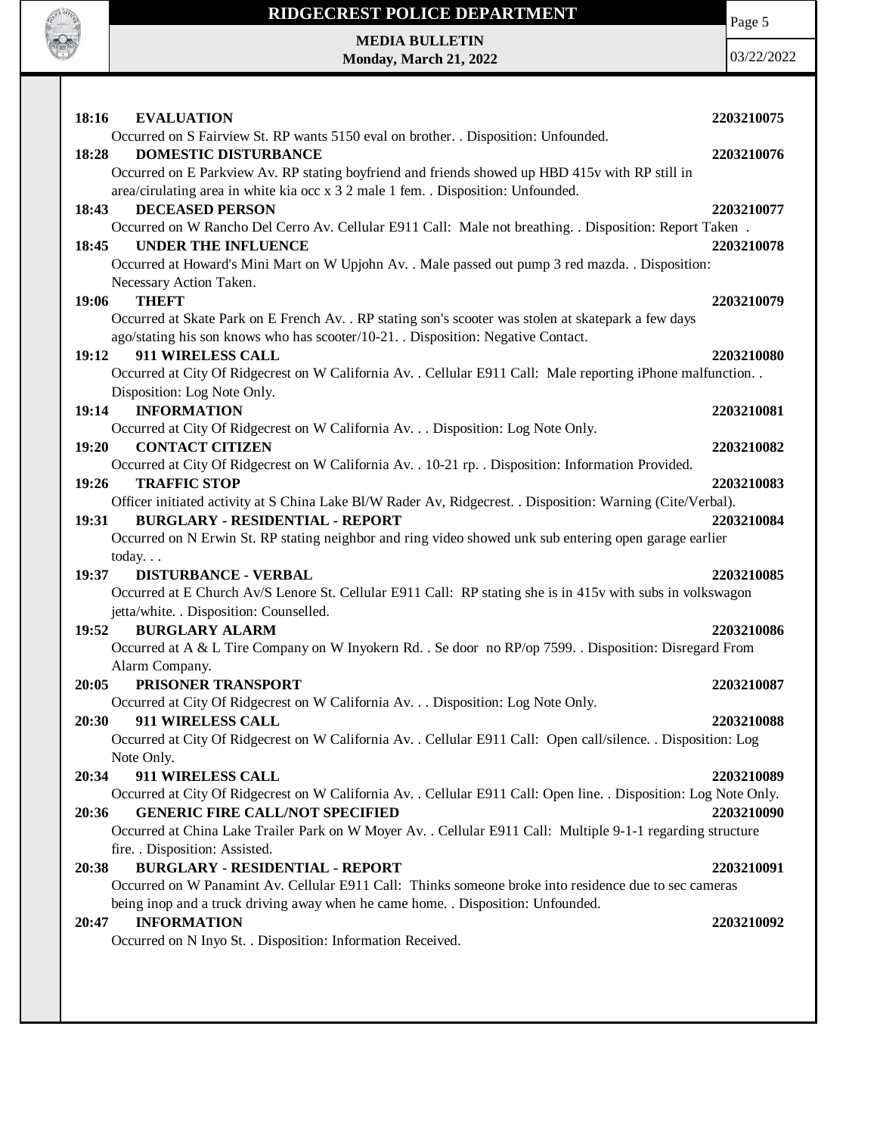

**MEDIA BULLETIN Monday, March 21, 2022** Page 5

| 18:16<br><b>EVALUATION</b>                                                                                                                                | 2203210075 |
|-----------------------------------------------------------------------------------------------------------------------------------------------------------|------------|
| Occurred on S Fairview St. RP wants 5150 eval on brother. . Disposition: Unfounded.                                                                       |            |
| <b>DOMESTIC DISTURBANCE</b><br>18:28                                                                                                                      | 2203210076 |
| Occurred on E Parkview Av. RP stating boyfriend and friends showed up HBD 415v with RP still in                                                           |            |
| area/cirulating area in white kia occ x 3 2 male 1 fem. . Disposition: Unfounded.                                                                         |            |
| 18:43<br><b>DECEASED PERSON</b>                                                                                                                           | 2203210077 |
| Occurred on W Rancho Del Cerro Av. Cellular E911 Call: Male not breathing. . Disposition: Report Taken.<br>18:45<br><b>UNDER THE INFLUENCE</b>            | 2203210078 |
| Occurred at Howard's Mini Mart on W Upjohn Av. . Male passed out pump 3 red mazda. . Disposition:                                                         |            |
| Necessary Action Taken.                                                                                                                                   |            |
| <b>THEFT</b><br>19:06                                                                                                                                     | 2203210079 |
| Occurred at Skate Park on E French Av. . RP stating son's scooter was stolen at skatepark a few days                                                      |            |
| ago/stating his son knows who has scooter/10-21. . Disposition: Negative Contact.                                                                         |            |
| 911 WIRELESS CALL<br>19:12                                                                                                                                | 2203210080 |
| Occurred at City Of Ridgecrest on W California Av. . Cellular E911 Call: Male reporting iPhone malfunction. .                                             |            |
| Disposition: Log Note Only.                                                                                                                               |            |
| 19:14<br><b>INFORMATION</b>                                                                                                                               | 2203210081 |
| Occurred at City Of Ridgecrest on W California Av. Disposition: Log Note Only.                                                                            |            |
| 19:20<br><b>CONTACT CITIZEN</b>                                                                                                                           | 2203210082 |
| Occurred at City Of Ridgecrest on W California Av. . 10-21 rp. . Disposition: Information Provided.                                                       |            |
| <b>TRAFFIC STOP</b><br>19:26                                                                                                                              | 2203210083 |
| Officer initiated activity at S China Lake Bl/W Rader Av, Ridgecrest. . Disposition: Warning (Cite/Verbal).                                               |            |
| <b>BURGLARY - RESIDENTIAL - REPORT</b><br>19:31<br>Occurred on N Erwin St. RP stating neighbor and ring video showed unk sub entering open garage earlier | 2203210084 |
| today. $\ldots$                                                                                                                                           |            |
| 19:37<br><b>DISTURBANCE - VERBAL</b>                                                                                                                      | 2203210085 |
| Occurred at E Church Av/S Lenore St. Cellular E911 Call: RP stating she is in 415v with subs in volkswagon                                                |            |
| jetta/white. . Disposition: Counselled.                                                                                                                   |            |
| 19:52<br><b>BURGLARY ALARM</b>                                                                                                                            | 2203210086 |
| Occurred at A & L Tire Company on W Inyokern Rd. . Se door no RP/op 7599. . Disposition: Disregard From                                                   |            |
| Alarm Company.                                                                                                                                            |            |
| PRISONER TRANSPORT<br>20:05                                                                                                                               | 2203210087 |
| Occurred at City Of Ridgecrest on W California Av. Disposition: Log Note Only.                                                                            |            |
| 911 WIRELESS CALL<br>20:30                                                                                                                                | 2203210088 |
| Occurred at City Of Ridgecrest on W California Av. . Cellular E911 Call: Open call/silence. . Disposition: Log                                            |            |
| Note Only.                                                                                                                                                |            |
| 911 WIRELESS CALL<br>20:34                                                                                                                                | 2203210089 |
| Occurred at City Of Ridgecrest on W California Av. . Cellular E911 Call: Open line. . Disposition: Log Note Only.                                         |            |
| <b>GENERIC FIRE CALL/NOT SPECIFIED</b><br>20:36                                                                                                           | 2203210090 |
| Occurred at China Lake Trailer Park on W Moyer Av. . Cellular E911 Call: Multiple 9-1-1 regarding structure<br>fire. . Disposition: Assisted.             |            |
| <b>BURGLARY - RESIDENTIAL - REPORT</b><br>20:38                                                                                                           | 2203210091 |
| Occurred on W Panamint Av. Cellular E911 Call: Thinks someone broke into residence due to sec cameras                                                     |            |
| being inop and a truck driving away when he came home. . Disposition: Unfounded.                                                                          |            |
| <b>INFORMATION</b><br>20:47                                                                                                                               | 2203210092 |
| Occurred on N Inyo St. . Disposition: Information Received.                                                                                               |            |
|                                                                                                                                                           |            |
|                                                                                                                                                           |            |